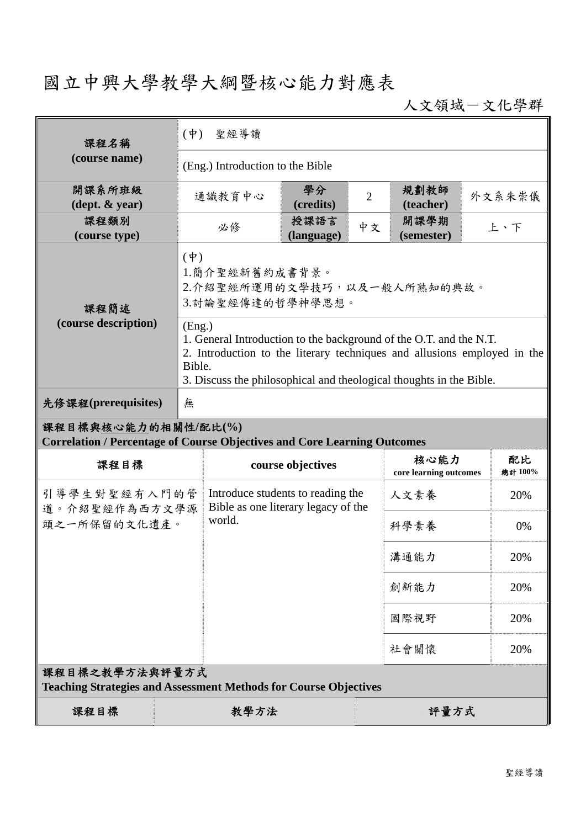## 國立中興大學教學大綱暨核心能力對應表

人文領域-文化學群

| 課程名稱                                                                                                   |             | 聖經導讀<br>$(\dagger)$                                                                                                                                                                                                                       |                    |                |                                |               |  |  |
|--------------------------------------------------------------------------------------------------------|-------------|-------------------------------------------------------------------------------------------------------------------------------------------------------------------------------------------------------------------------------------------|--------------------|----------------|--------------------------------|---------------|--|--|
| (course name)                                                                                          |             | (Eng.) Introduction to the Bible                                                                                                                                                                                                          |                    |                |                                |               |  |  |
| 開課系所班級<br>$(\text{dept.} \& \text{ year})$                                                             |             | 通識教育中心                                                                                                                                                                                                                                    | 學分<br>(credits)    | $\overline{2}$ | 規劃教師<br>(teacher)              | 外文系朱崇儀        |  |  |
| 課程類別<br>(course type)                                                                                  |             | 必修                                                                                                                                                                                                                                        | 授課語言<br>(language) | 中文             | 開課學期<br>(semester)             | 上、下           |  |  |
| 課程簡述                                                                                                   | $(\dagger)$ | 1.簡介聖經新舊約成書背景。<br>2.介紹聖經所運用的文學技巧,以及一般人所熟知的典故。<br>3.討論聖經傳達的哲學神學思想。                                                                                                                                                                         |                    |                |                                |               |  |  |
| (course description)                                                                                   |             | (Eng.)<br>1. General Introduction to the background of the O.T. and the N.T.<br>2. Introduction to the literary techniques and allusions employed in the<br>Bible.<br>3. Discuss the philosophical and theological thoughts in the Bible. |                    |                |                                |               |  |  |
| 先修課程(prerequisites)                                                                                    | 無           |                                                                                                                                                                                                                                           |                    |                |                                |               |  |  |
| 課程目標與核心能力的相關性/配比(%)<br><b>Correlation / Percentage of Course Objectives and Core Learning Outcomes</b> |             |                                                                                                                                                                                                                                           |                    |                |                                |               |  |  |
| 課程目標                                                                                                   |             |                                                                                                                                                                                                                                           | course objectives  |                | 核心能力<br>core learning outcomes | 配比<br>總計 100% |  |  |
| 引導學生對聖經有入門的管<br>道。介紹聖經作為西方文學源<br>頭之一所保留的文化遺產。                                                          |             | Introduce students to reading the<br>Bible as one literary legacy of the<br>world.                                                                                                                                                        |                    |                | 人文素養                           | 20%           |  |  |
|                                                                                                        |             |                                                                                                                                                                                                                                           |                    |                | 科學素養                           | 0%            |  |  |
|                                                                                                        |             |                                                                                                                                                                                                                                           |                    |                | 溝通能力                           | 20%           |  |  |
|                                                                                                        |             |                                                                                                                                                                                                                                           |                    |                | 創新能力                           | 20%           |  |  |
|                                                                                                        |             |                                                                                                                                                                                                                                           |                    |                | 國際視野                           | 20%           |  |  |
|                                                                                                        |             |                                                                                                                                                                                                                                           |                    |                | 社會關懷                           | 20%           |  |  |
| 課程目標之教學方法與評量方式<br><b>Teaching Strategies and Assessment Methods for Course Objectives</b>              |             |                                                                                                                                                                                                                                           |                    |                |                                |               |  |  |
| 課程目標                                                                                                   |             | 教學方法                                                                                                                                                                                                                                      |                    |                | 評量方式                           |               |  |  |